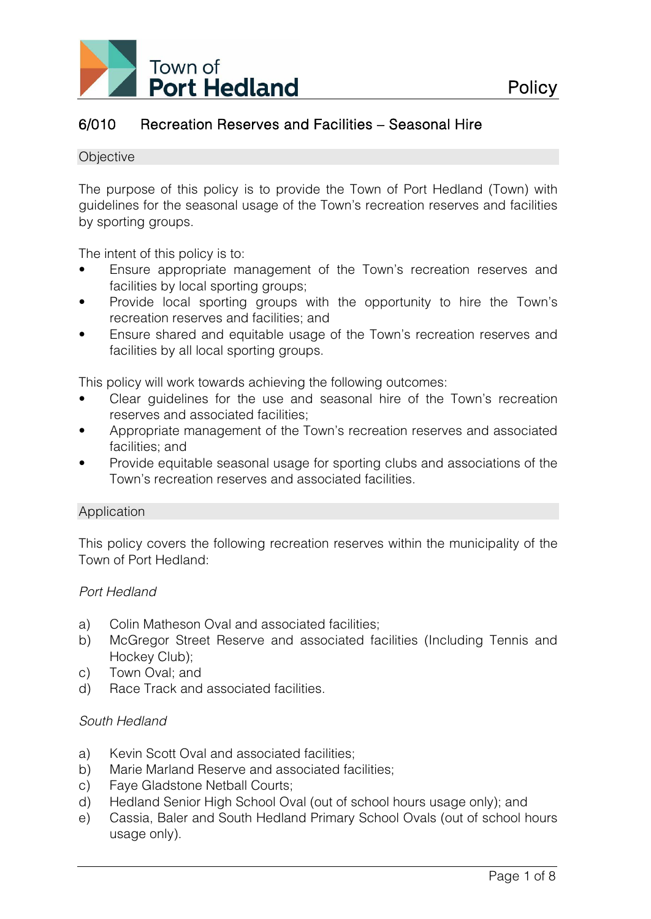

# 6/010 Recreation Reserves and Facilities – Seasonal Hire

#### **Objective**

The purpose of this policy is to provide the Town of Port Hedland (Town) with guidelines for the seasonal usage of the Town's recreation reserves and facilities by sporting groups.

The intent of this policy is to:

- Ensure appropriate management of the Town's recreation reserves and facilities by local sporting groups;
- Provide local sporting groups with the opportunity to hire the Town's recreation reserves and facilities; and
- Ensure shared and equitable usage of the Town's recreation reserves and facilities by all local sporting groups.

This policy will work towards achieving the following outcomes:

- Clear guidelines for the use and seasonal hire of the Town's recreation reserves and associated facilities;
- Appropriate management of the Town's recreation reserves and associated facilities; and
- Provide equitable seasonal usage for sporting clubs and associations of the Town's recreation reserves and associated facilities.

### Application

This policy covers the following recreation reserves within the municipality of the Town of Port Hedland:

### *Port Hedland*

- a) Colin Matheson Oval and associated facilities;
- b) McGregor Street Reserve and associated facilities (Including Tennis and Hockey Club);
- c) Town Oval; and
- d) Race Track and associated facilities.

### *South Hedland*

- a) Kevin Scott Oval and associated facilities;
- b) Marie Marland Reserve and associated facilities;
- c) Faye Gladstone Netball Courts;
- d) Hedland Senior High School Oval (out of school hours usage only); and
- e) Cassia, Baler and South Hedland Primary School Ovals (out of school hours usage only).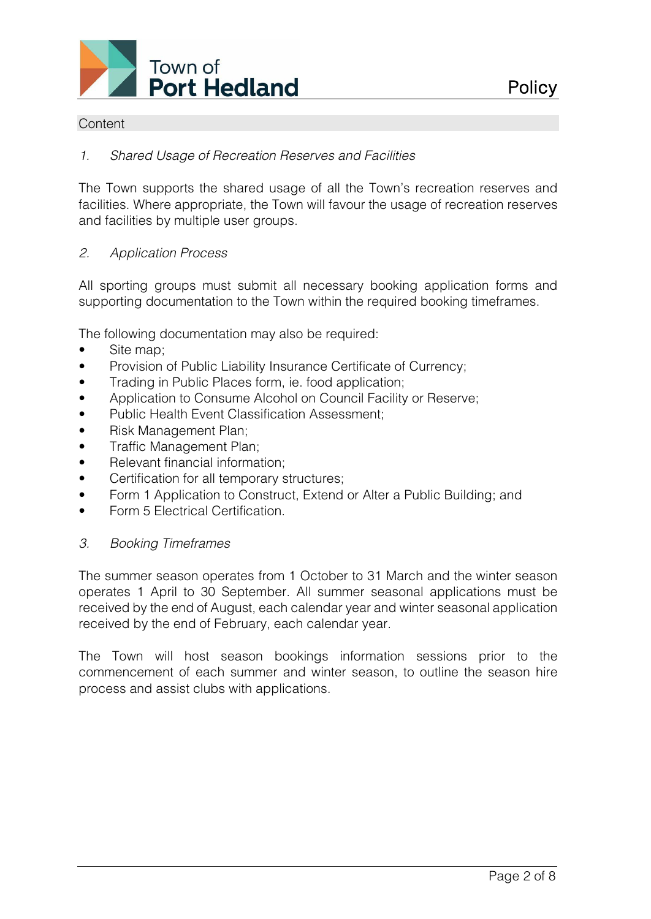

### **Content**

### *1. Shared Usage of Recreation Reserves and Facilities*

The Town supports the shared usage of all the Town's recreation reserves and facilities. Where appropriate, the Town will favour the usage of recreation reserves and facilities by multiple user groups.

### *2. Application Process*

All sporting groups must submit all necessary booking application forms and supporting documentation to the Town within the required booking timeframes.

The following documentation may also be required:

- Site map;
- Provision of Public Liability Insurance Certificate of Currency;
- Trading in Public Places form, ie. food application;
- Application to Consume Alcohol on Council Facility or Reserve;
- Public Health Event Classification Assessment:
- Risk Management Plan;
- Traffic Management Plan;
- Relevant financial information:
- Certification for all temporary structures;
- Form 1 Application to Construct, Extend or Alter a Public Building; and
- Form 5 Flectrical Certification.

#### *3. Booking Timeframes*

The summer season operates from 1 October to 31 March and the winter season operates 1 April to 30 September. All summer seasonal applications must be received by the end of August, each calendar year and winter seasonal application received by the end of February, each calendar year.

The Town will host season bookings information sessions prior to the commencement of each summer and winter season, to outline the season hire process and assist clubs with applications.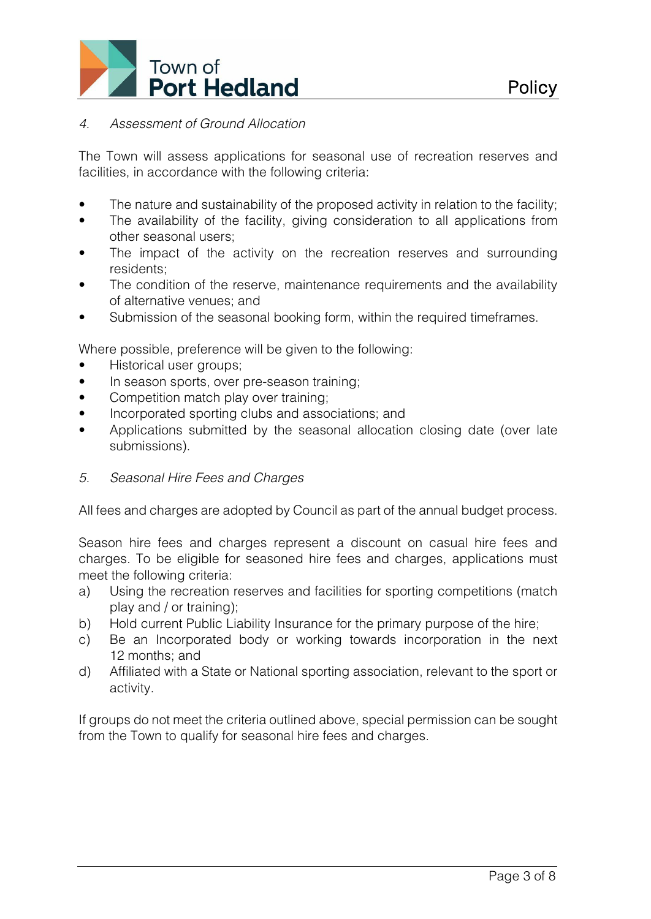

# *4. Assessment of Ground Allocation*

The Town will assess applications for seasonal use of recreation reserves and facilities, in accordance with the following criteria:

- The nature and sustainability of the proposed activity in relation to the facility;
- The availability of the facility, giving consideration to all applications from other seasonal users;
- The impact of the activity on the recreation reserves and surrounding residents;
- The condition of the reserve, maintenance requirements and the availability of alternative venues; and
- Submission of the seasonal booking form, within the required timeframes.

Where possible, preference will be given to the following:

- Historical user groups;
- In season sports, over pre-season training;
- Competition match play over training;
- Incorporated sporting clubs and associations; and
- Applications submitted by the seasonal allocation closing date (over late submissions).
- *5. Seasonal Hire Fees and Charges*

All fees and charges are adopted by Council as part of the annual budget process.

Season hire fees and charges represent a discount on casual hire fees and charges. To be eligible for seasoned hire fees and charges, applications must meet the following criteria:

- a) Using the recreation reserves and facilities for sporting competitions (match play and / or training);
- b) Hold current Public Liability Insurance for the primary purpose of the hire;
- c) Be an Incorporated body or working towards incorporation in the next 12 months; and
- d) Affiliated with a State or National sporting association, relevant to the sport or activity.

If groups do not meet the criteria outlined above, special permission can be sought from the Town to qualify for seasonal hire fees and charges.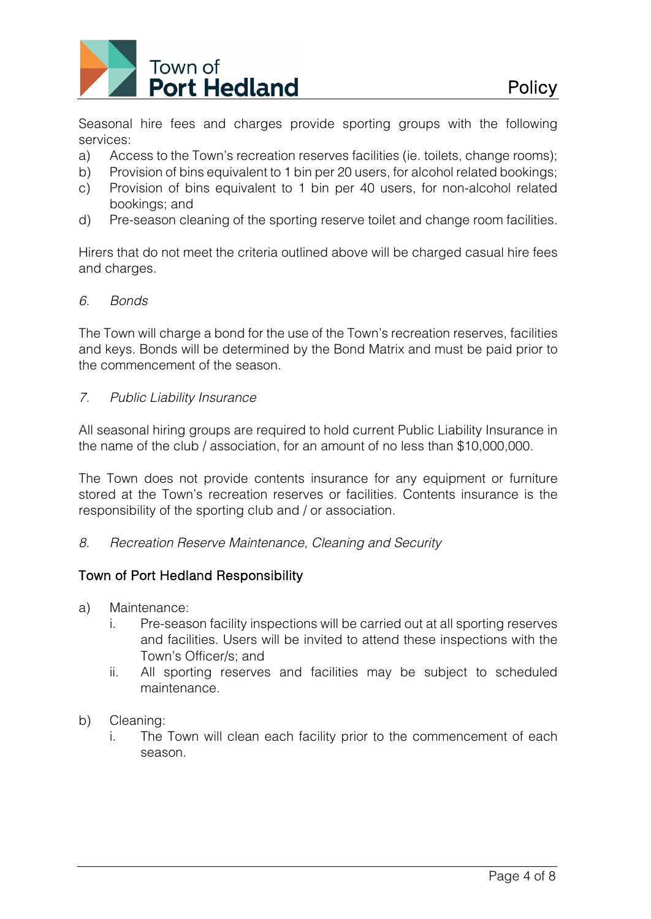

Seasonal hire fees and charges provide sporting groups with the following services:

- a) Access to the Town's recreation reserves facilities (ie. toilets, change rooms);
- b) Provision of bins equivalent to 1 bin per 20 users, for alcohol related bookings;
- c) Provision of bins equivalent to 1 bin per 40 users, for non-alcohol related bookings; and
- d) Pre-season cleaning of the sporting reserve toilet and change room facilities.

Hirers that do not meet the criteria outlined above will be charged casual hire fees and charges.

#### *6. Bonds*

The Town will charge a bond for the use of the Town's recreation reserves, facilities and keys. Bonds will be determined by the Bond Matrix and must be paid prior to the commencement of the season.

### *7. Public Liability Insurance*

All seasonal hiring groups are required to hold current Public Liability Insurance in the name of the club / association, for an amount of no less than \$10,000,000.

The Town does not provide contents insurance for any equipment or furniture stored at the Town's recreation reserves or facilities. Contents insurance is the responsibility of the sporting club and / or association.

*8. Recreation Reserve Maintenance, Cleaning and Security*

### Town of Port Hedland Responsibility

- a) Maintenance:
	- i. Pre-season facility inspections will be carried out at all sporting reserves and facilities. Users will be invited to attend these inspections with the Town's Officer/s; and
	- ii. All sporting reserves and facilities may be subject to scheduled maintenance.

### b) Cleaning:

i. The Town will clean each facility prior to the commencement of each season.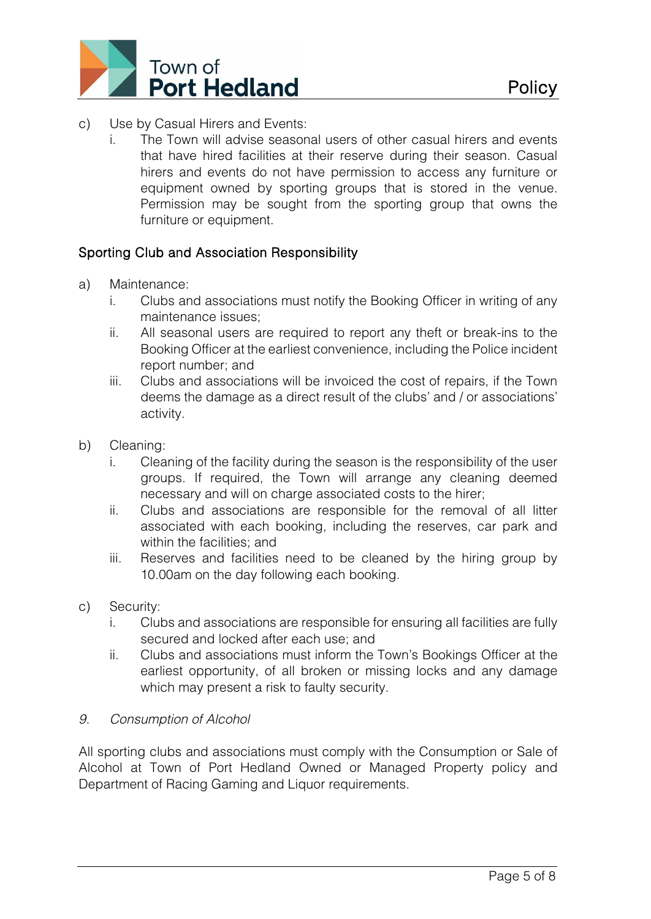

- c) Use by Casual Hirers and Events:
	- i. The Town will advise seasonal users of other casual hirers and events that have hired facilities at their reserve during their season. Casual hirers and events do not have permission to access any furniture or equipment owned by sporting groups that is stored in the venue. Permission may be sought from the sporting group that owns the furniture or equipment.

# Sporting Club and Association Responsibility

- a) Maintenance:
	- i. Clubs and associations must notify the Booking Officer in writing of any maintenance issues;
	- ii. All seasonal users are required to report any theft or break-ins to the Booking Officer at the earliest convenience, including the Police incident report number; and
	- iii. Clubs and associations will be invoiced the cost of repairs, if the Town deems the damage as a direct result of the clubs' and / or associations' activity.
- b) Cleaning:
	- i. Cleaning of the facility during the season is the responsibility of the user groups. If required, the Town will arrange any cleaning deemed necessary and will on charge associated costs to the hirer;
	- ii. Clubs and associations are responsible for the removal of all litter associated with each booking, including the reserves, car park and within the facilities; and
	- iii. Reserves and facilities need to be cleaned by the hiring group by 10.00am on the day following each booking.
- c) Security:
	- i. Clubs and associations are responsible for ensuring all facilities are fully secured and locked after each use; and
	- ii. Clubs and associations must inform the Town's Bookings Officer at the earliest opportunity, of all broken or missing locks and any damage which may present a risk to faulty security.

# *9. Consumption of Alcohol*

All sporting clubs and associations must comply with the Consumption or Sale of Alcohol at Town of Port Hedland Owned or Managed Property policy and Department of Racing Gaming and Liquor requirements.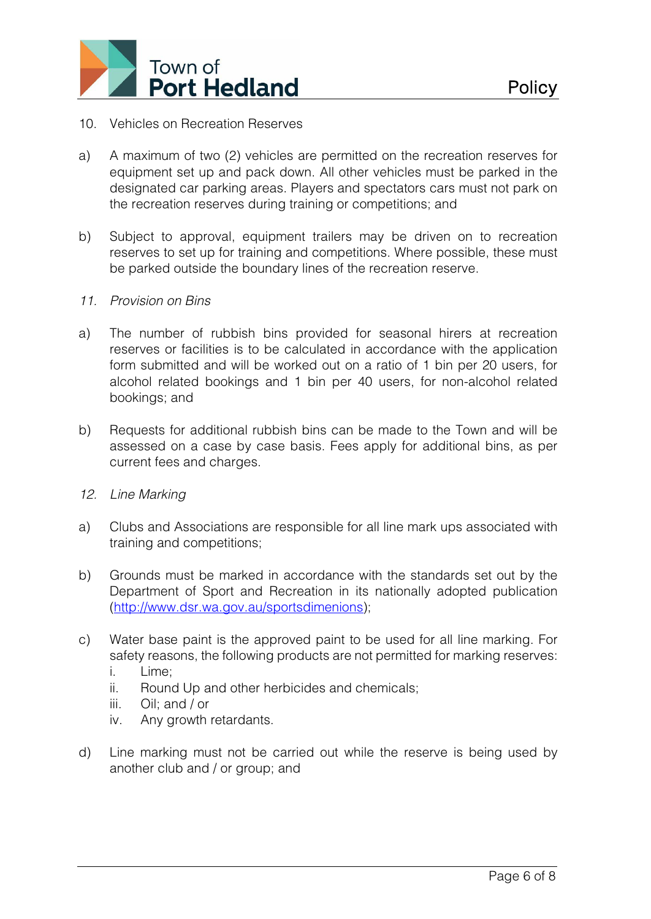

- 10. Vehicles on Recreation Reserves
- a) A maximum of two (2) vehicles are permitted on the recreation reserves for equipment set up and pack down. All other vehicles must be parked in the designated car parking areas. Players and spectators cars must not park on the recreation reserves during training or competitions; and
- b) Subject to approval, equipment trailers may be driven on to recreation reserves to set up for training and competitions. Where possible, these must be parked outside the boundary lines of the recreation reserve.
- *11. Provision on Bins*
- a) The number of rubbish bins provided for seasonal hirers at recreation reserves or facilities is to be calculated in accordance with the application form submitted and will be worked out on a ratio of 1 bin per 20 users, for alcohol related bookings and 1 bin per 40 users, for non-alcohol related bookings; and
- b) Requests for additional rubbish bins can be made to the Town and will be assessed on a case by case basis. Fees apply for additional bins, as per current fees and charges.
- *12. Line Marking*
- a) Clubs and Associations are responsible for all line mark ups associated with training and competitions;
- b) Grounds must be marked in accordance with the standards set out by the Department of Sport and Recreation in its nationally adopted publication [\(http://www.dsr.wa.gov.au/sportsdimenions\)](http://www.dsr.wa.gov.au/sportsdimenions);
- c) Water base paint is the approved paint to be used for all line marking. For safety reasons, the following products are not permitted for marking reserves:
	- i. Lime;
	- ii. Round Up and other herbicides and chemicals;
	- iii. Oil; and / or
	- iv. Any growth retardants.
- d) Line marking must not be carried out while the reserve is being used by another club and / or group; and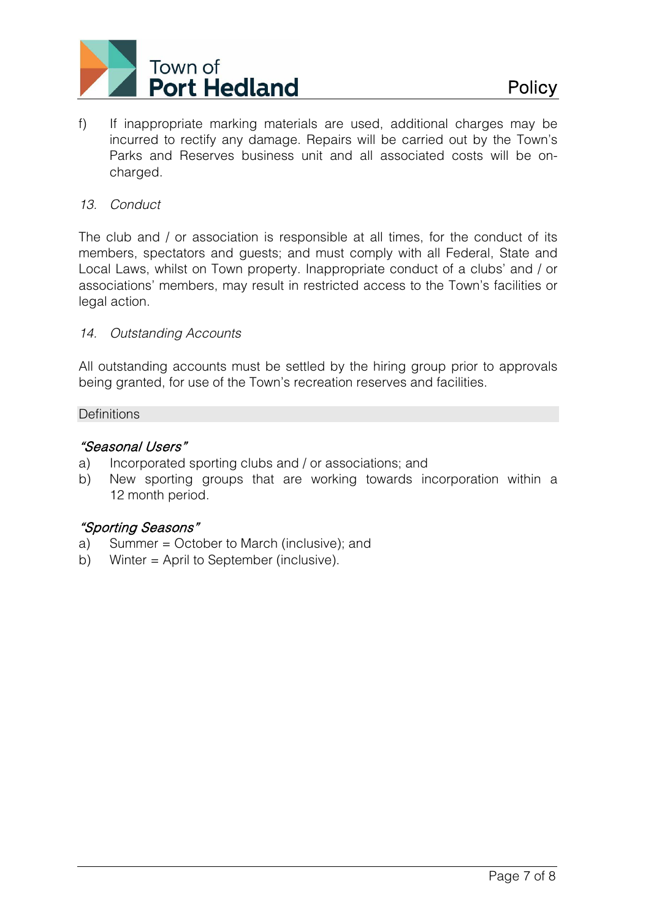

f) If inappropriate marking materials are used, additional charges may be incurred to rectify any damage. Repairs will be carried out by the Town's Parks and Reserves business unit and all associated costs will be oncharged.

## *13. Conduct*

The club and / or association is responsible at all times, for the conduct of its members, spectators and guests; and must comply with all Federal, State and Local Laws, whilst on Town property. Inappropriate conduct of a clubs' and / or associations' members, may result in restricted access to the Town's facilities or legal action.

### *14. Outstanding Accounts*

All outstanding accounts must be settled by the hiring group prior to approvals being granted, for use of the Town's recreation reserves and facilities.

#### **Definitions**

## "Seasonal Users"

- a) Incorporated sporting clubs and / or associations; and
- b) New sporting groups that are working towards incorporation within a 12 month period.

# "Sporting Seasons"

- a) Summer = October to March (inclusive); and
- b) Winter = April to September (inclusive).